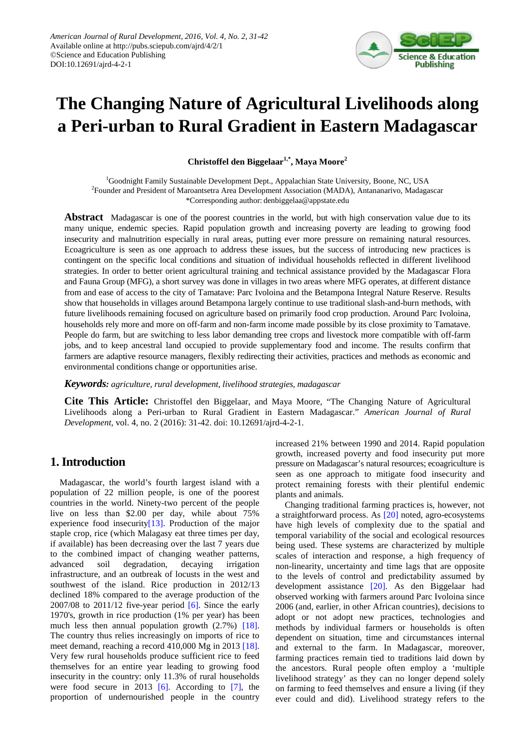

# **The Changing Nature of Agricultural Livelihoods along a Peri-urban to Rural Gradient in Eastern Madagascar**

**Christoffel den Biggelaar1,\*, Maya Moore2**

<sup>1</sup>Goodnight Family Sustainable Development Dept., Appalachian State University, Boone, NC, USA 2 Founder and President of Maroantsetra Area Development Association (MADA), Antananarivo, Madagascar \*Corresponding author: denbiggelaa@appstate.edu

**Abstract** Madagascar is one of the poorest countries in the world, but with high conservation value due to its many unique, endemic species. Rapid population growth and increasing poverty are leading to growing food insecurity and malnutrition especially in rural areas, putting ever more pressure on remaining natural resources. Ecoagriculture is seen as one approach to address these issues, but the success of introducing new practices is contingent on the specific local conditions and situation of individual households reflected in different livelihood strategies. In order to better orient agricultural training and technical assistance provided by the Madagascar Flora and Fauna Group (MFG), a short survey was done in villages in two areas where MFG operates, at different distance from and ease of access to the city of Tamatave: Parc Ivoloina and the Betampona Integral Nature Reserve. Results show that households in villages around Betampona largely continue to use traditional slash-and-burn methods, with future livelihoods remaining focused on agriculture based on primarily food crop production. Around Parc Ivoloina, households rely more and more on off-farm and non-farm income made possible by its close proximity to Tamatave. People do farm, but are switching to less labor demanding tree crops and livestock more compatible with off-farm jobs, and to keep ancestral land occupied to provide supplementary food and income. The results confirm that farmers are adaptive resource managers, flexibly redirecting their activities, practices and methods as economic and environmental conditions change or opportunities arise.

*Keywords: agriculture, rural development, livelihood strategies, madagascar*

**Cite This Article:** Christoffel den Biggelaar, and Maya Moore, "The Changing Nature of Agricultural Livelihoods along a Peri-urban to Rural Gradient in Eastern Madagascar." *American Journal of Rural Development*, vol. 4, no. 2 (2016): 31-42. doi: 10.12691/ajrd-4-2-1.

# **1. Introduction**

Madagascar, the world's fourth largest island with a population of 22 million people, is one of the poorest countries in the world. Ninety-two percent of the people live on less than \$2.00 per day, while about 75% experience food insecurit[y\[13\].](#page-11-0) Production of the major staple crop, rice (which Malagasy eat three times per day, if available) has been decreasing over the last 7 years due to the combined impact of changing weather patterns, advanced soil degradation, decaying irrigation infrastructure, and an outbreak of locusts in the west and southwest of the island. Rice production in 2012/13 declined 18% compared to the average production of the 2007/08 to 2011/12 five-year period  $[6]$ . Since the early 1970's, growth in rice production (1% per year) has been much less then annual population growth (2.7%) [\[18\].](#page-11-2) The country thus relies increasingly on imports of rice to meet demand, reaching a record 410,000 Mg in 2013 [\[18\].](#page-11-2) Very few rural households produce sufficient rice to feed themselves for an entire year leading to growing food insecurity in the country: only 11.3% of rural households were food secure in 2013  $[6]$ . According to  $[7]$ , the proportion of undernourished people in the country increased 21% between 1990 and 2014. Rapid population growth, increased poverty and food insecurity put more pressure on Madagascar's natural resources; ecoagriculture is seen as one approach to mitigate food insecurity and protect remaining forests with their plentiful endemic plants and animals.

Changing traditional farming practices is, however, not a straightforward process. As [\[20\]](#page-11-4) noted, agro-ecosystems have high levels of complexity due to the spatial and temporal variability of the social and ecological resources being used. These systems are characterized by multiple scales of interaction and response, a high frequency of non-linearity, uncertainty and time lags that are opposite to the levels of control and predictability assumed by development assistance [\[20\].](#page-11-4) As den Biggelaar had observed working with farmers around Parc Ivoloina since 2006 (and, earlier, in other African countries), decisions to adopt or not adopt new practices, technologies and methods by individual farmers or households is often dependent on situation, time and circumstances internal and external to the farm. In Madagascar, moreover, farming practices remain tied to traditions laid down by the ancestors. Rural people often employ a 'multiple livelihood strategy' as they can no longer depend solely on farming to feed themselves and ensure a living (if they ever could and did). Livelihood strategy refers to the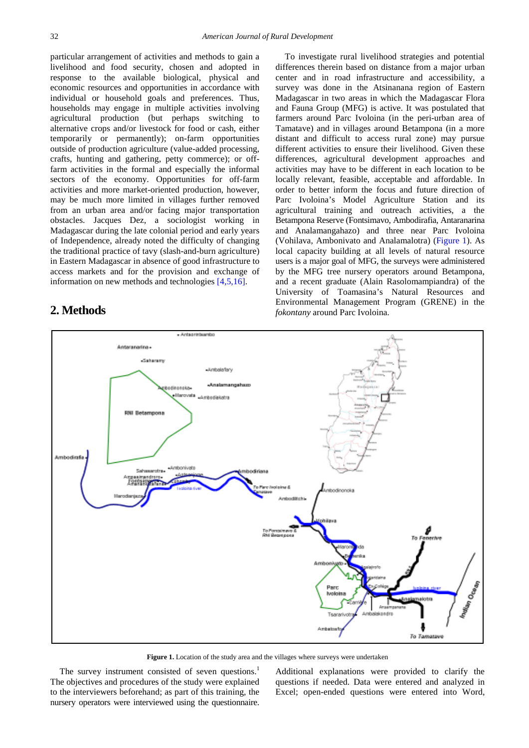particular arrangement of activities and methods to gain a livelihood and food security, chosen and adopted in response to the available biological, physical and economic resources and opportunities in accordance with individual or household goals and preferences. Thus, households may engage in multiple activities involving agricultural production (but perhaps switching to alternative crops and/or livestock for food or cash, either temporarily or permanently); on-farm opportunities outside of production agriculture (value-added processing, crafts, hunting and gathering, petty commerce); or offfarm activities in the formal and especially the informal sectors of the economy. Opportunities for off-farm activities and more market-oriented production, however, may be much more limited in villages further removed from an urban area and/or facing major transportation obstacles. Jacques Dez, a sociologist working in Madagascar during the late colonial period and early years of Independence, already noted the difficulty of changing the traditional practice of tavy (slash-and-burn agriculture) in Eastern Madagascar in absence of good infrastructure to access markets and for the provision and exchange of information on new methods and technologies [\[4,5,16\].](#page-11-5)

# **2. Methods**

To investigate rural livelihood strategies and potential differences therein based on distance from a major urban center and in road infrastructure and accessibility, a survey was done in the Atsinanana region of Eastern Madagascar in two areas in which the Madagascar Flora and Fauna Group (MFG) is active. It was postulated that farmers around Parc Ivoloina (in the peri-urban area of Tamatave) and in villages around Betampona (in a more distant and difficult to access rural zone) may pursue different activities to ensure their livelihood. Given these differences, agricultural development approaches and activities may have to be different in each location to be locally relevant, feasible, acceptable and affordable. In order to better inform the focus and future direction of Parc Ivoloina's Model Agriculture Station and its agricultural training and outreach activities, a the Betampona Reserve (Fontsimavo, Ambodirafia, Antaranarina and Analamangahazo) and three near Parc Ivoloina (Vohilava, Ambonivato and Analamalotra) [\(Figure 1\)](#page-1-0). As local capacity building at all levels of natural resource users is a major goal of MFG, the surveys were administered by the MFG tree nursery operators around Betampona, and a recent graduate (Alain Rasolomampiandra) of the University of Toamasina's Natural Resources and Environmental Management Program (GRENE) in the *fokontany* around Parc Ivoloina.

<span id="page-1-0"></span>

Figure 1. Location of the study area and the villages where surveys were undertaken

The survey instrument consisted of seven questions.<sup>1</sup> The objectives and procedures of the study were explained to the interviewers beforehand; as part of this training, the nursery operators were interviewed using the questionnaire.

Additional explanations were provided to clarify the questions if needed. Data were entered and analyzed in Excel; open-ended questions were entered into Word,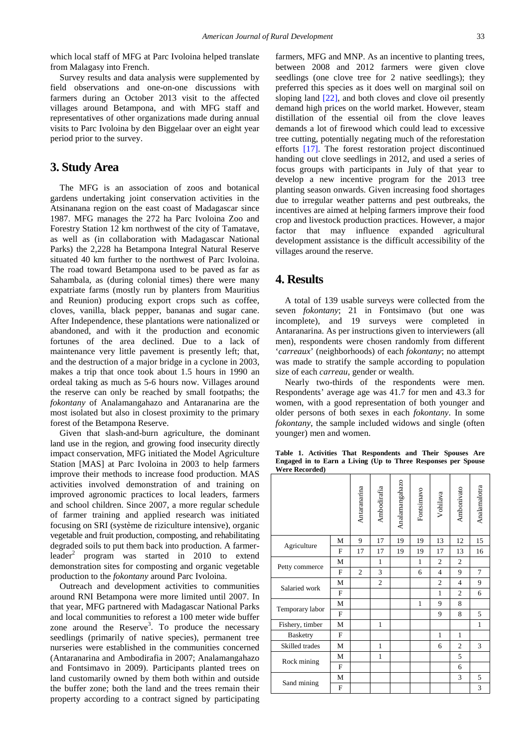which local staff of MFG at Parc Ivoloina helped translate from Malagasy into French.

Survey results and data analysis were supplemented by field observations and one-on-one discussions with farmers during an October 2013 visit to the affected villages around Betampona, and with MFG staff and representatives of other organizations made during annual visits to Parc Ivoloina by den Biggelaar over an eight year period prior to the survey.

## **3. Study Area**

The MFG is an association of zoos and botanical gardens undertaking joint conservation activities in the Atsinanana region on the east coast of Madagascar since 1987. MFG manages the 272 ha Parc Ivoloina Zoo and Forestry Station 12 km northwest of the city of Tamatave, as well as (in collaboration with Madagascar National Parks) the 2,228 ha Betampona Integral Natural Reserve situated 40 km further to the northwest of Parc Ivoloina. The road toward Betampona used to be paved as far as Sahambala, as (during colonial times) there were many expatriate farms (mostly run by planters from Mauritius and Reunion) producing export crops such as coffee, cloves, vanilla, black pepper, bananas and sugar cane. After Independence, these plantations were nationalized or abandoned, and with it the production and economic fortunes of the area declined. Due to a lack of maintenance very little pavement is presently left; that, and the destruction of a major bridge in a cyclone in 2003, makes a trip that once took about 1.5 hours in 1990 an ordeal taking as much as 5-6 hours now. Villages around the reserve can only be reached by small footpaths; the *fokontany* of Analamangahazo and Antaranarina are the most isolated but also in closest proximity to the primary forest of the Betampona Reserve.

Given that slash-and-burn agriculture, the dominant land use in the region, and growing food insecurity directly impact conservation, MFG initiated the Model Agriculture Station [MAS] at Parc Ivoloina in 2003 to help farmers improve their methods to increase food production. MAS activities involved demonstration of and training on improved agronomic practices to local leaders, farmers and school children. Since 2007, a more regular schedule of farmer training and applied research was initiated focusing on SRI (système de riziculture intensive), organic vegetable and fruit production, composting, and rehabilitating degraded soils to put them back into production. A farmerleader<sup>2</sup> program was started in  $2010$  to extend demonstration sites for composting and organic vegetable production to the *fokontany* around Parc Ivoloina.

Outreach and development activities to communities around RNI Betampona were more limited until 2007. In that year, MFG partnered with Madagascar National Parks and local communities to reforest a 100 meter wide buffer zone around the Reserve<sup>3</sup>. To produce the necessary seedlings (primarily of native species), permanent tree nurseries were established in the communities concerned (Antaranarina and Ambodirafia in 2007; Analamangahazo and Fontsimavo in 2009). Participants planted trees on land customarily owned by them both within and outside the buffer zone; both the land and the trees remain their property according to a contract signed by participating

farmers, MFG and MNP. As an incentive to planting trees, between 2008 and 2012 farmers were given clove seedlings (one clove tree for 2 native seedlings); they preferred this species as it does well on marginal soil on sloping land [\[22\],](#page-11-6) and both cloves and clove oil presently demand high prices on the world market. However, steam distillation of the essential oil from the clove leaves demands a lot of firewood which could lead to excessive tree cutting, potentially negating much of the reforestation efforts [\[17\].](#page-11-7) The forest restoration project discontinued handing out clove seedlings in 2012, and used a series of focus groups with participants in July of that year to develop a new incentive program for the 2013 tree planting season onwards. Given increasing food shortages due to irregular weather patterns and pest outbreaks, the incentives are aimed at helping farmers improve their food crop and livestock production practices. However, a major factor that may influence expanded agricultural development assistance is the difficult accessibility of the villages around the reserve.

## **4. Results**

A total of 139 usable surveys were collected from the seven *fokontany*; 21 in Fontsimavo (but one was incomplete), and 19 surveys were completed in Antaranarina. As per instructions given to interviewers (all men), respondents were chosen randomly from different '*carreaux*' (neighborhoods) of each *fokontany*; no attempt was made to stratify the sample according to population size of each *carreau*, gender or wealth.

Nearly two-thirds of the respondents were men. Respondents' average age was 41.7 for men and 43.3 for women, with a good representation of both younger and older persons of both sexes in each *fokontany*. In some *fokontany*, the sample included widows and single (often younger) men and women.

<span id="page-2-0"></span>

|                 |              | Antaranarina   | Ambodirafia    | Analamangahazo | Fontsimavo   | Vohilava                                    | Ambonivato     | Analamalotra |
|-----------------|--------------|----------------|----------------|----------------|--------------|---------------------------------------------|----------------|--------------|
| Agriculture     | M            | 9              | 17             | 19             | 19           | 13                                          | 12             | 15           |
|                 | F            | 17             | 17             | 19             | 19           | 17                                          | 13             | 16           |
|                 | M            |                | 1              |                | $\mathbf{1}$ | $\overline{2}$                              | $\overline{2}$ |              |
| Petty commerce  | $\mathbf F$  | $\overline{c}$ | 3              |                | 6            | $\overline{4}$                              | 9              | 7            |
| Salaried work   | M            |                | $\overline{c}$ |                |              | $\overline{2}$                              | $\overline{4}$ | 9            |
|                 | $\mathbf F$  |                |                |                |              | $\mathbf{1}$<br>9<br>9<br>$\mathbf{1}$<br>6 | $\overline{c}$ | 6            |
|                 | $\mathbf M$  |                |                |                | 1            |                                             | 8              |              |
| Temporary labor | $\mathbf{F}$ |                |                |                |              |                                             | 8              | 5            |
| Fishery, timber | M            |                | 1              |                |              |                                             |                | $\mathbf{1}$ |
| <b>Basketry</b> | F            |                |                |                |              |                                             | 1              |              |
| Skilled trades  | M            |                | $\mathbf{1}$   |                |              |                                             | $\overline{c}$ | 3            |
|                 | М            |                | $\mathbf{1}$   |                |              |                                             | 5              |              |
| Rock mining     | $\mathbf F$  |                |                |                |              |                                             | 6              |              |
|                 | М            |                |                |                |              |                                             | 3              | 5            |
| Sand mining     | F            |                |                |                |              |                                             |                | 3            |

**Table 1. Activities That Respondents and Their Spouses Are Engaged in to Earn a Living (Up to Three Responses per Spouse Were Recorded)**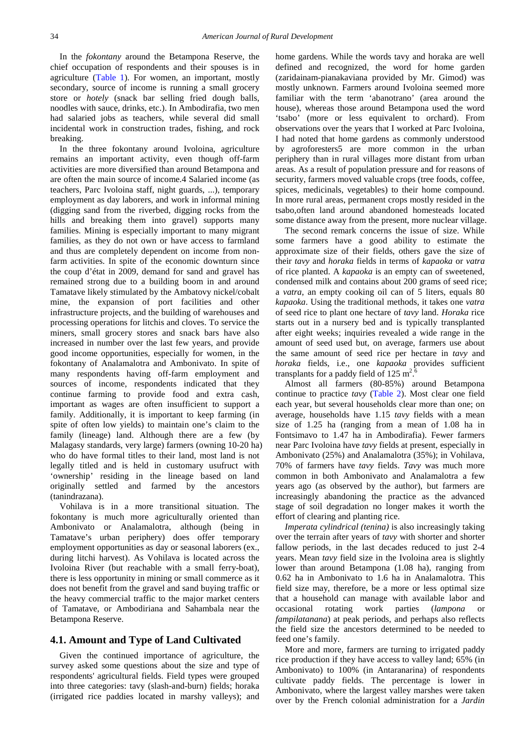In the *fokontany* around the Betampona Reserve, the chief occupation of respondents and their spouses is in agriculture [\(Table 1\)](#page-2-0). For women, an important, mostly secondary, source of income is running a small grocery store or *hotely* (snack bar selling fried dough balls, noodles with sauce, drinks, etc.). In Ambodirafia, two men had salaried jobs as teachers, while several did small incidental work in construction trades, fishing, and rock breaking.

In the three fokontany around Ivoloina, agriculture remains an important activity, even though off-farm activities are more diversified than around Betampona and are often the main source of income.4 Salaried income (as teachers, Parc Ivoloina staff, night guards, ...), temporary employment as day laborers, and work in informal mining (digging sand from the riverbed, digging rocks from the hills and breaking them into gravel) supports many families. Mining is especially important to many migrant families, as they do not own or have access to farmland and thus are completely dependent on income from nonfarm activities. In spite of the economic downturn since the coup d'état in 2009, demand for sand and gravel has remained strong due to a building boom in and around Tamatave likely stimulated by the Ambatovy nickel/cobalt mine, the expansion of port facilities and other infrastructure projects, and the building of warehouses and processing operations for litchis and cloves. To service the miners, small grocery stores and snack bars have also increased in number over the last few years, and provide good income opportunities, especially for women, in the fokontany of Analamalotra and Ambonivato. In spite of many respondents having off-farm employment and sources of income, respondents indicated that they continue farming to provide food and extra cash, important as wages are often insufficient to support a family. Additionally, it is important to keep farming (in spite of often low yields) to maintain one's claim to the family (lineage) land. Although there are a few (by Malagasy standards, very large) farmers (owning 10-20 ha) who do have formal titles to their land, most land is not legally titled and is held in customary usufruct with 'ownership' residing in the lineage based on land originally settled and farmed by the ancestors (tanindrazana).

Vohilava is in a more transitional situation. The fokontany is much more agriculturally oriented than Ambonivato or Analamalotra, although (being in Tamatave's urban periphery) does offer temporary employment opportunities as day or seasonal laborers (ex., during litchi harvest). As Vohilava is located across the Ivoloina River (but reachable with a small ferry-boat), there is less opportunity in mining or small commerce as it does not benefit from the gravel and sand buying traffic or the heavy commercial traffic to the major market centers of Tamatave, or Ambodiriana and Sahambala near the Betampona Reserve.

#### **4.1. Amount and Type of Land Cultivated**

Given the continued importance of agriculture, the survey asked some questions about the size and type of respondents' agricultural fields. Field types were grouped into three categories: tavy (slash-and-burn) fields; horaka (irrigated rice paddies located in marshy valleys); and home gardens. While the words tavy and horaka are well defined and recognized, the word for home garden (zaridainam-pianakaviana provided by Mr. Gimod) was mostly unknown. Farmers around Ivoloina seemed more familiar with the term 'abanotrano' (area around the house), whereas those around Betampona used the word 'tsabo' (more or less equivalent to orchard). From observations over the years that I worked at Parc Ivoloina, I had noted that home gardens as commonly understood by agroforesters5 are more common in the urban periphery than in rural villages more distant from urban areas. As a result of population pressure and for reasons of security, farmers moved valuable crops (tree foods, coffee, spices, medicinals, vegetables) to their home compound. In more rural areas, permanent crops mostly resided in the tsabo,often land around abandoned homesteads located some distance away from the present, more nuclear village.

The second remark concerns the issue of size. While some farmers have a good ability to estimate the approximate size of their fields, others gave the size of their *tavy* and *horaka* fields in terms of *kapaoka* or *vatra*  of rice planted. A *kapaoka* is an empty can of sweetened, condensed milk and contains about 200 grams of seed rice; a *vatra*, an empty cooking oil can of 5 liters, equals 80 *kapaoka*. Using the traditional methods, it takes one *vatra*  of seed rice to plant one hectare of *tavy* land. *Horaka* rice starts out in a nursery bed and is typically transplanted after eight weeks; inquiries revealed a wide range in the amount of seed used but, on average, farmers use about the same amount of seed rice per hectare in *tavy* and *horaka* fields, i.e., one *kapaoka* provides sufficient transplants for a paddy field of  $125 \text{ m}^2$ . 6

Almost all farmers (80-85%) around Betampona continue to practice *tavy* [\(Table 2\)](#page-4-0). Most clear one field each year, but several households clear more than one; on average, households have 1.15 *tavy* fields with a mean size of 1.25 ha (ranging from a mean of 1.08 ha in Fontsimavo to 1.47 ha in Ambodirafia). Fewer farmers near Parc Ivoloina have *tavy* fields at present, especially in Ambonivato (25%) and Analamalotra (35%); in Vohilava, 70% of farmers have *tavy* fields. *Tavy* was much more common in both Ambonivato and Analamalotra a few years ago (as observed by the author), but farmers are increasingly abandoning the practice as the advanced stage of soil degradation no longer makes it worth the effort of clearing and planting rice.

*Imperata cylindrical (tenina)* is also increasingly taking over the terrain after years of *tavy* with shorter and shorter fallow periods, in the last decades reduced to just 2-4 years. Mean *tavy* field size in the Ivoloina area is slightly lower than around Betampona (1.08 ha), ranging from 0.62 ha in Ambonivato to 1.6 ha in Analamalotra. This field size may, therefore, be a more or less optimal size that a household can manage with available labor and occasional rotating work parties (*lampona* or *fampilatanana*) at peak periods, and perhaps also reflects the field size the ancestors determined to be needed to feed one's family.

More and more, farmers are turning to irrigated paddy rice production if they have access to valley land; 65% (in Ambonivato) to 100% (in Antaranarina) of respondents cultivate paddy fields. The percentage is lower in Ambonivato, where the largest valley marshes were taken over by the French colonial administration for a *Jardin*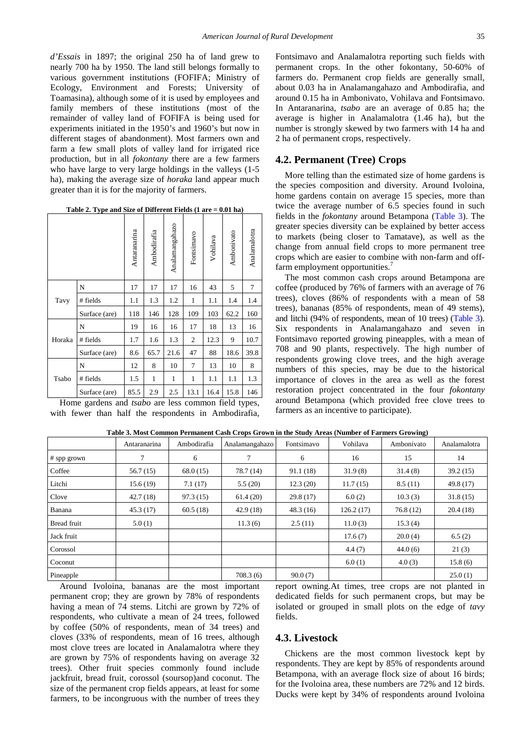*d'Essais* in 1897; the original 250 ha of land grew to nearly 700 ha by 1950. The land still belongs formally to various government institutions (FOFIFA; Ministry of Ecology, Environment and Forests; University of Toamasina), although some of it is used by employees and family members of these institutions (most of the remainder of valley land of FOFIFA is being used for experiments initiated in the 1950's and 1960's but now in different stages of abandonment). Most farmers own and farm a few small plots of valley land for irrigated rice production, but in all *fokontany* there are a few farmers who have large to very large holdings in the valleys (1-5 ha), making the average size of *horaka* land appear much greater than it is for the majority of farmers.

**Table 2. Type and Size of Different Fields (1 are = 0.01 ha)**

<span id="page-4-0"></span>

|        |               | Antaranarina | Ambodirafia | Analamangahazo | Fontsimavo     | Vohilava                                     | Ambonivato | Analamalotra |
|--------|---------------|--------------|-------------|----------------|----------------|----------------------------------------------|------------|--------------|
|        | N             | 17           | 17          | 17             | 16             | 43                                           | 5          | 7            |
| Tavy   | # fields      | 1.1          | 1.3         | 1.2            | 1              | 1.1                                          | 1.4        | 1.4          |
|        | Surface (are) | 118          | 146         | 128            | 109            | 103<br>18<br>12.3<br>88<br>13<br>1.1<br>16.4 | 62.2       | 160          |
|        | N             | 19           | 16          | 16             | 17             |                                              | 13         | 16           |
| Horaka | # fields      | 1.7          | 1.6         | 1.3            | $\mathfrak{2}$ |                                              | 9          | 10.7         |
|        | Surface (are) | 8.6          | 65.7        | 21.6           | 47             |                                              | 18.6       | 39.8         |
|        | N             | 12           | 8           | 10             | 7              |                                              | 10         | 8            |
| Tsabo  | # fields      | 1.5          | 1           | 1              | $\mathbf{1}$   |                                              | 1.1        | 1.3          |
|        | Surface (are) | 85.5         | 2.9         | 2.5            | 13.1           |                                              | 15.8       | 146          |

Home gardens and *tsabo* are less common field types, with fewer than half the respondents in Ambodirafia, Fontsimavo and Analamalotra reporting such fields with permanent crops. In the other fokontany, 50-60% of farmers do. Permanent crop fields are generally small, about 0.03 ha in Analamangahazo and Ambodirafia, and around 0.15 ha in Ambonivato, Vohilava and Fontsimavo. In Antaranarina, *tsabo* are an average of 0.85 ha; the average is higher in Analamalotra (1.46 ha), but the number is strongly skewed by two farmers with 14 ha and 2 ha of permanent crops, respectively.

#### **4.2. Permanent (Tree) Crops**

More telling than the estimated size of home gardens is the species composition and diversity. Around Ivoloina, home gardens contain on average 15 species, more than twice the average number of 6.5 species found in such fields in the *fokontany* around Betampona [\(Table 3\)](#page-4-1). The greater species diversity can be explained by better access to markets (being closer to Tamatave), as well as the change from annual field crops to more permanent tree crops which are easier to combine with non-farm and offfarm employment opportunities.<sup>7</sup>

The most common cash crops around Betampona are coffee (produced by 76% of farmers with an average of 76 trees), cloves (86% of respondents with a mean of 58 trees), bananas (85% of respondents, mean of 49 stems), and litchi (94% of respondents, mean of 10 trees) [\(Table 3\)](#page-4-1). Six respondents in Analamangahazo and seven in Fontsimavo reported growing pineapples, with a mean of 708 and 90 plants, respectively. The high number of respondents growing clove trees, and the high average numbers of this species, may be due to the historical importance of cloves in the area as well as the forest restoration project concentrated in the four *fokontany*  around Betampona (which provided free clove trees to farmers as an incentive to participate).

<span id="page-4-1"></span>

|               | Antaranarina | Ambodirafia | Analamangahazo | Fontsimavo | Vohilava  | Ambonivato | Analamalotra |
|---------------|--------------|-------------|----------------|------------|-----------|------------|--------------|
| $#$ spp grown |              | 6           | 7              | 6          | 16        | 15         | 14           |
| Coffee        | 56.7(15)     | 68.0(15)    | 78.7 (14)      | 91.1(18)   | 31.9(8)   | 31.4(8)    | 39.2(15)     |
| Litchi        | 15.6(19)     | 7.1(17)     | 5.5(20)        | 12.3(20)   | 11.7(15)  | 8.5(11)    | 49.8 (17)    |
| Clove         | 42.7(18)     | 97.3(15)    | 61.4(20)       | 29.8 (17)  | 6.0(2)    | 10.3(3)    | 31.8(15)     |
| Banana        | 45.3(17)     | 60.5(18)    | 42.9(18)       | 48.3(16)   | 126.2(17) | 76.8(12)   | 20.4(18)     |
| Bread fruit   | 5.0(1)       |             | 11.3(6)        | 2.5(11)    | 11.0(3)   | 15.3(4)    |              |
| Jack fruit    |              |             |                |            | 17.6(7)   | 20.0(4)    | 6.5(2)       |
| Corossol      |              |             |                |            | 4.4(7)    | 44.0(6)    | 21(3)        |
| Coconut       |              |             |                |            | 6.0(1)    | 4.0(3)     | 15.8(6)      |
| Pineapple     |              |             | 708.3(6)       | 90.0(7)    |           |            | 25.0(1)      |

**Table 3. Most Common Permanent Cash Crops Grown in the Study Areas (Number of Farmers Growing)**

Around Ivoloina, bananas are the most important permanent crop; they are grown by 78% of respondents having a mean of 74 stems. Litchi are grown by 72% of respondents, who cultivate a mean of 24 trees, followed by coffee (50% of respondents, mean of 34 trees) and cloves (33% of respondents, mean of 16 trees, although most clove trees are located in Analamalotra where they are grown by 75% of respondents having on average 32 trees). Other fruit species commonly found include jackfruit, bread fruit, corossol (soursop)and coconut. The size of the permanent crop fields appears, at least for some farmers, to be incongruous with the number of trees they

report owning.At times, tree crops are not planted in dedicated fields for such permanent crops, but may be isolated or grouped in small plots on the edge of *tavy* fields.

#### **4.3. Livestock**

Chickens are the most common livestock kept by respondents. They are kept by 85% of respondents around Betampona, with an average flock size of about 16 birds; for the Ivoloina area, these numbers are 72% and 12 birds. Ducks were kept by 34% of respondents around Ivoloina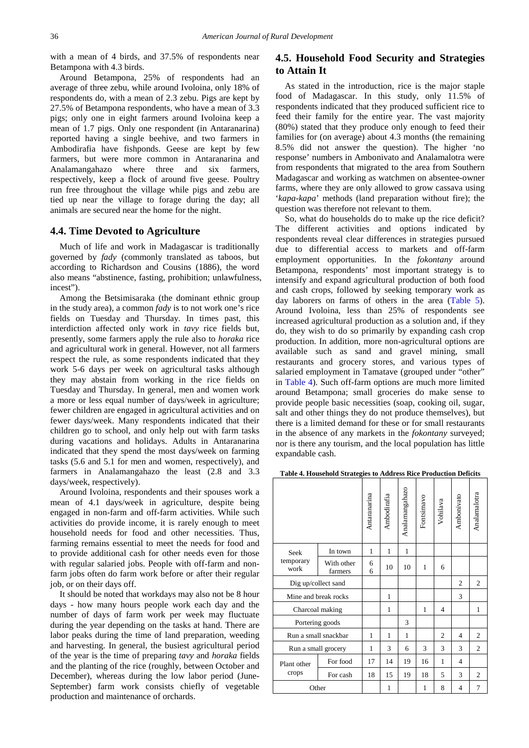with a mean of 4 birds, and 37.5% of respondents near Betampona with 4.3 birds.

Around Betampona, 25% of respondents had an average of three zebu, while around Ivoloina, only 18% of respondents do, with a mean of 2.3 zebu. Pigs are kept by 27.5% of Betampona respondents, who have a mean of 3.3 pigs; only one in eight farmers around Ivoloina keep a mean of 1.7 pigs. Only one respondent (in Antaranarina) reported having a single beehive, and two farmers in Ambodirafia have fishponds. Geese are kept by few farmers, but were more common in Antaranarina and Analamangahazo where three and six farmers, respectively, keep a flock of around five geese. Poultry run free throughout the village while pigs and zebu are tied up near the village to forage during the day; all animals are secured near the home for the night.

#### **4.4. Time Devoted to Agriculture**

Much of life and work in Madagascar is traditionally governed by *fady* (commonly translated as taboos, but according to Richardson and Cousins (1886), the word also means "abstinence, fasting, prohibition; unlawfulness, incest").

Among the Betsimisaraka (the dominant ethnic group in the study area), a common *fady* is to not work one's rice fields on Tuesday and Thursday. In times past, this interdiction affected only work in *tavy* rice fields but, presently, some farmers apply the rule also to *horaka* rice and agricultural work in general. However, not all farmers respect the rule, as some respondents indicated that they work 5-6 days per week on agricultural tasks although they may abstain from working in the rice fields on Tuesday and Thursday. In general, men and women work a more or less equal number of days/week in agriculture; fewer children are engaged in agricultural activities and on fewer days/week. Many respondents indicated that their children go to school, and only help out with farm tasks during vacations and holidays. Adults in Antaranarina indicated that they spend the most days/week on farming tasks (5.6 and 5.1 for men and women, respectively), and farmers in Analamangahazo the least (2.8 and 3.3 days/week, respectively).

Around Ivoloina, respondents and their spouses work a mean of 4.1 days/week in agriculture, despite being engaged in non-farm and off-farm activities. While such activities do provide income, it is rarely enough to meet household needs for food and other necessities. Thus, farming remains essential to meet the needs for food and to provide additional cash for other needs even for those with regular salaried jobs. People with off-farm and nonfarm jobs often do farm work before or after their regular job, or on their days off.

It should be noted that workdays may also not be 8 hour days - how many hours people work each day and the number of days of farm work per week may fluctuate during the year depending on the tasks at hand. There are labor peaks during the time of land preparation, weeding and harvesting. In general, the busiest agricultural period of the year is the time of preparing *tavy* and *horaka* fields and the planting of the rice (roughly, between October and December), whereas during the low labor period (June-September) farm work consists chiefly of vegetable production and maintenance of orchards.

#### **4.5. Household Food Security and Strategies to Attain It**

As stated in the introduction, rice is the major staple food of Madagascar. In this study, only 11.5% of respondents indicated that they produced sufficient rice to feed their family for the entire year. The vast majority (80%) stated that they produce only enough to feed their families for (on average) about 4.3 months (the remaining 8.5% did not answer the question). The higher 'no response' numbers in Ambonivato and Analamalotra were from respondents that migrated to the area from Southern Madagascar and working as watchmen on absentee-owner farms, where they are only allowed to grow cassava using '*kapa-kapa*' methods (land preparation without fire); the question was therefore not relevant to them.

So, what do households do to make up the rice deficit? The different activities and options indicated by respondents reveal clear differences in strategies pursued due to differential access to markets and off-farm employment opportunities. In the *fokontany* around Betampona, respondents' most important strategy is to intensify and expand agricultural production of both food and cash crops, followed by seeking temporary work as day laborers on farms of others in the area [\(Table 5\)](#page-6-0). Around Ivoloina, less than 25% of respondents see increased agricultural production as a solution and, if they do, they wish to do so primarily by expanding cash crop production. In addition, more non-agricultural options are available such as sand and gravel mining, small restaurants and grocery stores, and various types of salaried employment in Tamatave (grouped under "other" in [Table 4\)](#page-5-0). Such off-farm options are much more limited around Betampona; small groceries do make sense to provide people basic necessities (soap, cooking oil, sugar, salt and other things they do not produce themselves), but there is a limited demand for these or for small restaurants in the absence of any markets in the *fokontany* surveyed; nor is there any tourism, and the local population has little expandable cash.

**Table 4. Household Strategies to Address Rice Production Deficits**

<span id="page-5-0"></span>

|                      |                       | Antaranarina | Ambodirafia  | Analamangahazo | Fontsimavo | Vohilava       | Ambonivato     | Analamalotra   |
|----------------------|-----------------------|--------------|--------------|----------------|------------|----------------|----------------|----------------|
| Seek                 | In town               | 1            | 1            | 1              |            |                |                |                |
| temporary<br>work    | With other<br>farmers | 6<br>6       | 10           | 10             | 1          | 6              |                |                |
|                      | Dig up/collect sand   |              |              |                |            |                | $\overline{c}$ | $\overline{2}$ |
| Mine and break rocks |                       |              | 1            |                |            |                | 3              |                |
|                      | Charcoal making       |              | $\mathbf{1}$ |                | 1          | $\overline{4}$ |                | 1              |
| Portering goods      |                       |              |              | 3              |            |                |                |                |
| Run a small snackbar |                       | 1            | 1            | 1              |            | $\overline{c}$ | $\overline{4}$ | 2              |
| Run a small grocery  |                       | 1            | 3            | 6              | 3          | 3              | 3              | $\overline{2}$ |
| Plant other          | For food              | 17           | 14           | 19             | 16         | 1              | $\overline{4}$ |                |
| crops                | For cash              | 18           | 15           | 19             | 18         | 5              | 3              | $\overline{c}$ |
| Other                |                       |              | 1            |                | 1          | 8              | $\overline{4}$ | 7              |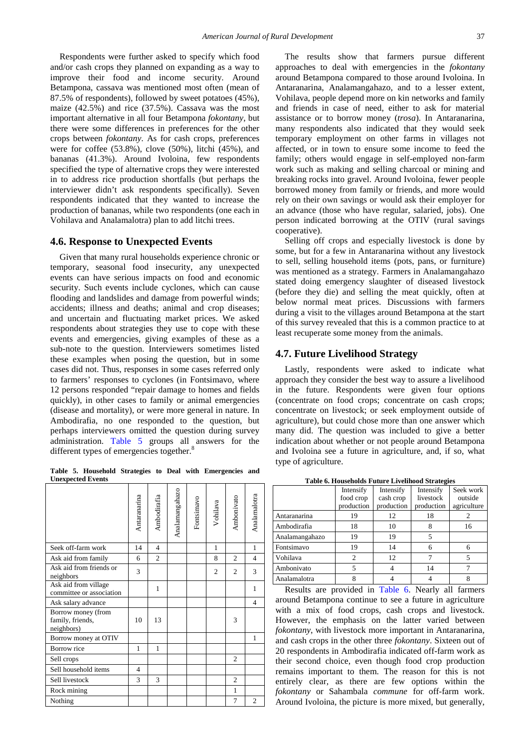Respondents were further asked to specify which food and/or cash crops they planned on expanding as a way to improve their food and income security. Around Betampona, cassava was mentioned most often (mean of 87.5% of respondents), followed by sweet potatoes (45%), maize (42.5%) and rice (37.5%). Cassava was the most important alternative in all four Betampona *fokontany*, but there were some differences in preferences for the other crops between *fokontany*. As for cash crops, preferences were for coffee (53.8%), clove (50%), litchi (45%), and bananas (41.3%). Around Ivoloina, few respondents specified the type of alternative crops they were interested in to address rice production shortfalls (but perhaps the interviewer didn't ask respondents specifically). Seven respondents indicated that they wanted to increase the production of bananas, while two respondents (one each in Vohilava and Analamalotra) plan to add litchi trees.

#### **4.6. Response to Unexpected Events**

Given that many rural households experience chronic or temporary, seasonal food insecurity, any unexpected events can have serious impacts on food and economic security. Such events include cyclones, which can cause flooding and landslides and damage from powerful winds; accidents; illness and deaths; animal and crop diseases; and uncertain and fluctuating market prices. We asked respondents about strategies they use to cope with these events and emergencies, giving examples of these as a sub-note to the question. Interviewers sometimes listed these examples when posing the question, but in some cases did not. Thus, responses in some cases referred only to farmers' responses to cyclones (in Fontsimavo, where 12 persons responded "repair damage to homes and fields quickly), in other cases to family or animal emergencies (disease and mortality), or were more general in nature. In Ambodirafia, no one responded to the question, but perhaps interviewers omitted the question during survey administration. [Table 5](#page-6-0) groups all answers for the different types of emergencies together.<sup>8</sup>

**Table 5. Household Strategies to Deal with Emergencies and Unexpected Events**

<span id="page-6-0"></span>

| Antaranarina   | Ambodirafia    | Analamangahazo | Fontsimavo | Vohilava       | Ambonivato     | Analamalotra   |
|----------------|----------------|----------------|------------|----------------|----------------|----------------|
| 14             | $\overline{4}$ |                |            | $\mathbf{1}$   |                | 1              |
| 6              | $\overline{2}$ |                |            | 8              | $\overline{2}$ | $\overline{4}$ |
| 3              |                |                |            | $\overline{c}$ | $\overline{2}$ | 3              |
|                | 1              |                |            |                |                | 1              |
|                |                |                |            |                |                | $\overline{4}$ |
| 10             | 13             |                |            |                | 3              |                |
|                |                |                |            |                |                | $\mathbf{1}$   |
| 1              | 1              |                |            |                |                |                |
|                |                |                |            |                | $\overline{c}$ |                |
| $\overline{4}$ |                |                |            |                |                |                |
| 3              | 3              |                |            |                | $\overline{2}$ |                |
|                |                |                |            |                | 1              |                |
|                |                |                |            |                | $\overline{7}$ | $\mathfrak{2}$ |
|                |                |                |            |                |                |                |

The results show that farmers pursue different approaches to deal with emergencies in the *fokontany*  around Betampona compared to those around Ivoloina. In Antaranarina, Analamangahazo, and to a lesser extent, Vohilava, people depend more on kin networks and family and friends in case of need, either to ask for material assistance or to borrow money (*trosa*). In Antaranarina, many respondents also indicated that they would seek temporary employment on other farms in villages not affected, or in town to ensure some income to feed the family; others would engage in self-employed non-farm work such as making and selling charcoal or mining and breaking rocks into gravel. Around Ivoloina, fewer people borrowed money from family or friends, and more would rely on their own savings or would ask their employer for an advance (those who have regular, salaried, jobs). One person indicated borrowing at the OTIV (rural savings cooperative).

Selling off crops and especially livestock is done by some, but for a few in Antaranarina without any livestock to sell, selling household items (pots, pans, or furniture) was mentioned as a strategy. Farmers in Analamangahazo stated doing emergency slaughter of diseased livestock (before they die) and selling the meat quickly, often at below normal meat prices. Discussions with farmers during a visit to the villages around Betampona at the start of this survey revealed that this is a common practice to at least recuperate some money from the animals.

#### **4.7. Future Livelihood Strategy**

Lastly, respondents were asked to indicate what approach they consider the best way to assure a livelihood in the future. Respondents were given four options (concentrate on food crops; concentrate on cash crops; concentrate on livestock; or seek employment outside of agriculture), but could chose more than one answer which many did. The question was included to give a better indication about whether or not people around Betampona and Ivoloina see a future in agriculture, and, if so, what type of agriculture.

<span id="page-6-1"></span>

|                | Intensify<br>food crop<br>production | Intensify<br>cash crop<br>production | Intensify<br>livestock<br>production | Seek work<br>outside<br>agriculture |
|----------------|--------------------------------------|--------------------------------------|--------------------------------------|-------------------------------------|
| Antaranarina   | 19                                   | 12                                   | 18                                   |                                     |
| Ambodirafia    | 18                                   | 10                                   | 8                                    | 16                                  |
| Analamangahazo | 19                                   | 19                                   | 5                                    |                                     |
| Fontsimavo     | 19                                   | 14                                   | 6                                    | 6                                   |
| Vohilava       | $\mathfrak{D}$                       | 12                                   |                                      | 5                                   |
| Ambonivato     |                                      |                                      | 14                                   |                                     |
| Analamalotra   | 8                                    |                                      |                                      | 8                                   |

**Table 6. Households Future Livelihood Strategies**

Results are provided in [Table 6.](#page-6-1) Nearly all farmers around Betampona continue to see a future in agriculture with a mix of food crops, cash crops and livestock. However, the emphasis on the latter varied between *fokontany*, with livestock more important in Antaranarina, and cash crops in the other three *fokontany*. Sixteen out of 20 respondents in Ambodirafia indicated off-farm work as their second choice, even though food crop production remains important to them. The reason for this is not entirely clear, as there are few options within the *fokontany* or Sahambala *commune* for off-farm work. Around Ivoloina, the picture is more mixed, but generally,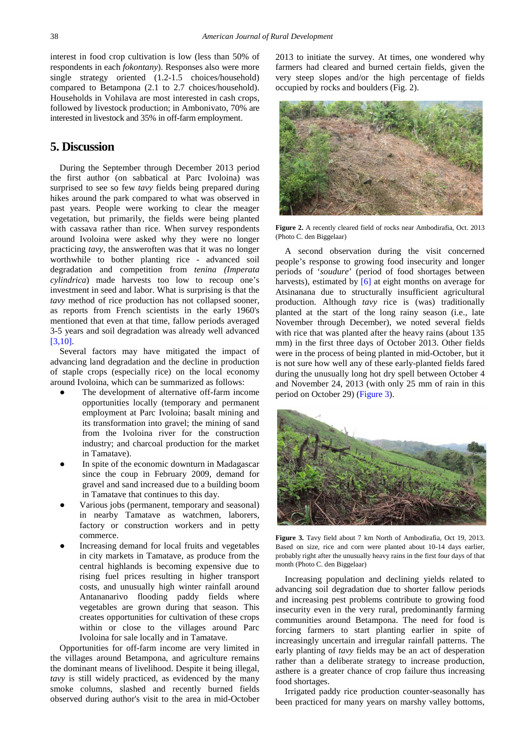interest in food crop cultivation is low (less than 50% of respondents in each *fokontany*). Responses also were more single strategy oriented (1.2-1.5 choices/household) compared to Betampona (2.1 to 2.7 choices/household). Households in Vohilava are most interested in cash crops, followed by livestock production; in Ambonivato, 70% are interested in livestock and 35% in off-farm employment.

## **5. Discussion**

During the September through December 2013 period the first author (on sabbatical at Parc Ivoloina) was surprised to see so few *tavy* fields being prepared during hikes around the park compared to what was observed in past years. People were working to clear the meager vegetation, but primarily, the fields were being planted with cassava rather than rice. When survey respondents around Ivoloina were asked why they were no longer practicing *tavy*, the answeroften was that it was no longer worthwhile to bother planting rice - advanced soil degradation and competition from *tenina (Imperata cylindrica*) made harvests too low to recoup one's investment in seed and labor. What is surprising is that the *tavy* method of rice production has not collapsed sooner, as reports from French scientists in the early 1960's mentioned that even at that time, fallow periods averaged 3-5 years and soil degradation was already well advanced [\[3,10\].](#page-11-8)

Several factors may have mitigated the impact of advancing land degradation and the decline in production of staple crops (especially rice) on the local economy around Ivoloina, which can be summarized as follows:

- The development of alternative off-farm income opportunities locally (temporary and permanent employment at Parc Ivoloina; basalt mining and its transformation into gravel; the mining of sand from the Ivoloina river for the construction industry; and charcoal production for the market in Tamatave).
- In spite of the economic downturn in Madagascar since the coup in February 2009, demand for gravel and sand increased due to a building boom in Tamatave that continues to this day.
- Various jobs (permanent, temporary and seasonal) in nearby Tamatave as watchmen, laborers, factory or construction workers and in petty commerce.
- Increasing demand for local fruits and vegetables in city markets in Tamatave, as produce from the central highlands is becoming expensive due to rising fuel prices resulting in higher transport costs, and unusually high winter rainfall around Antananarivo flooding paddy fields where vegetables are grown during that season. This creates opportunities for cultivation of these crops within or close to the villages around Parc Ivoloina for sale locally and in Tamatave.

Opportunities for off-farm income are very limited in the villages around Betampona, and agriculture remains the dominant means of livelihood. Despite it being illegal, *tavy* is still widely practiced, as evidenced by the many smoke columns, slashed and recently burned fields observed during author's visit to the area in mid-October 2013 to initiate the survey. At times, one wondered why farmers had cleared and burned certain fields, given the very steep slopes and/or the high percentage of fields occupied by rocks and boulders (Fig. 2).



**Figure 2.** A recently cleared field of rocks near Ambodirafia, Oct. 2013 (Photo C. den Biggelaar)

A second observation during the visit concerned people's response to growing food insecurity and longer periods of '*soudure*' (period of food shortages between harvests), estimated by [\[6\]](#page-11-1) at eight months on average for Atsinanana due to structurally insufficient agricultural production. Although *tavy* rice is (was) traditionally planted at the start of the long rainy season (i.e., late November through December), we noted several fields with rice that was planted after the heavy rains (about 135 mm) in the first three days of October 2013. Other fields were in the process of being planted in mid-October, but it is not sure how well any of these early-planted fields fared during the unusually long hot dry spell between October 4 and November 24, 2013 (with only 25 mm of rain in this period on October 29) [\(Figure 3\)](#page-7-0).

<span id="page-7-0"></span>

**Figure 3.** Tavy field about 7 km North of Ambodirafia, Oct 19, 2013. Based on size, rice and corn were planted about 10-14 days earlier, probably right after the unusually heavy rains in the first four days of that month (Photo C. den Biggelaar)

Increasing population and declining yields related to advancing soil degradation due to shorter fallow periods and increasing pest problems contribute to growing food insecurity even in the very rural, predominantly farming communities around Betampona. The need for food is forcing farmers to start planting earlier in spite of increasingly uncertain and irregular rainfall patterns. The early planting of *tavy* fields may be an act of desperation rather than a deliberate strategy to increase production, asthere is a greater chance of crop failure thus increasing food shortages.

Irrigated paddy rice production counter-seasonally has been practiced for many years on marshy valley bottoms,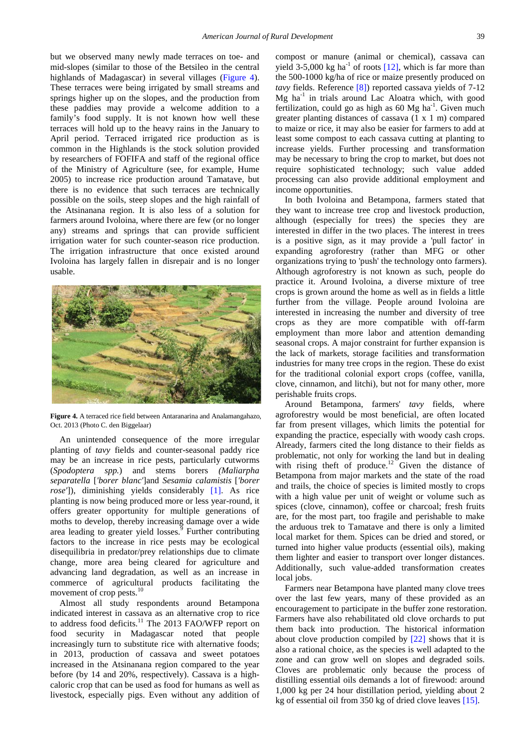but we observed many newly made terraces on toe- and mid-slopes (similar to those of the Betsileo in the central highlands of Madagascar) in several villages [\(Figure 4\)](#page-8-0). These terraces were being irrigated by small streams and springs higher up on the slopes, and the production from these paddies may provide a welcome addition to a family's food supply. It is not known how well these terraces will hold up to the heavy rains in the January to April period. Terraced irrigated rice production as is common in the Highlands is the stock solution provided by researchers of FOFIFA and staff of the regional office of the Ministry of Agriculture (see, for example, Hume 2005) to increase rice production around Tamatave, but there is no evidence that such terraces are technically possible on the soils, steep slopes and the high rainfall of the Atsinanana region. It is also less of a solution for farmers around Ivoloina, where there are few (or no longer any) streams and springs that can provide sufficient irrigation water for such counter-season rice production. The irrigation infrastructure that once existed around Ivoloina has largely fallen in disrepair and is no longer usable.

<span id="page-8-0"></span>

**Figure 4.** A terraced rice field between Antaranarina and Analamangahazo, Oct. 2013 (Photo C. den Biggelaar)

An unintended consequence of the more irregular planting of *tavy* fields and counter-seasonal paddy rice may be an increase in rice pests, particularly cutworms (*Spodoptera spp.*) and stems borers *(Maliarpha separatella* [*'borer blanc'*]and *Sesamia calamistis* [*'borer rose'*]), diminishing yields considerably [\[1\].](#page-11-9) As rice planting is now being produced more or less year-round, it offers greater opportunity for multiple generations of moths to develop, thereby increasing damage over a wide area leading to greater yield losses. $9$  Further contributing factors to the increase in rice pests may be ecological disequilibria in predator/prey relationships due to climate change, more area being cleared for agriculture and advancing land degradation, as well as an increase in commerce of agricultural products facilitating the movement of crop pests.<sup>10</sup>

Almost all study respondents around Betampona indicated interest in cassava as an alternative crop to rice to address food deficits.<sup>11</sup> The 2013 FAO/WFP report on food security in Madagascar noted that people increasingly turn to substitute rice with alternative foods; in 2013, production of cassava and sweet potatoes increased in the Atsinanana region compared to the year before (by 14 and 20%, respectively). Cassava is a highcaloric crop that can be used as food for humans as well as livestock, especially pigs. Even without any addition of compost or manure (animal or chemical), cassava can yield 3-5,000 kg ha<sup>-1</sup> of roots  $[12]$ , which is far more than the 500-1000 kg/ha of rice or maize presently produced on *tavy* fields. Reference [\[8\]\)](#page-11-11) reported cassava yields of 7-12  $Mg$  ha<sup>-1</sup> in trials around Lac Aloatra which, with good fertilization, could go as high as  $60$  Mg ha<sup>-1</sup>. Given much greater planting distances of cassava (1 x 1 m) compared to maize or rice, it may also be easier for farmers to add at least some compost to each cassava cutting at planting to increase yields. Further processing and transformation may be necessary to bring the crop to market, but does not require sophisticated technology; such value added processing can also provide additional employment and income opportunities.

In both Ivoloina and Betampona, farmers stated that they want to increase tree crop and livestock production, although (especially for trees) the species they are interested in differ in the two places. The interest in trees is a positive sign, as it may provide a 'pull factor' in expanding agroforestry (rather than MFG or other organizations trying to 'push' the technology onto farmers). Although agroforestry is not known as such, people do practice it. Around Ivoloina, a diverse mixture of tree crops is grown around the home as well as in fields a little further from the village. People around Ivoloina are interested in increasing the number and diversity of tree crops as they are more compatible with off-farm employment than more labor and attention demanding seasonal crops. A major constraint for further expansion is the lack of markets, storage facilities and transformation industries for many tree crops in the region. These do exist for the traditional colonial export crops (coffee, vanilla, clove, cinnamon, and litchi), but not for many other, more perishable fruits crops.

Around Betampona, farmers' *tavy* fields, where agroforestry would be most beneficial, are often located far from present villages, which limits the potential for expanding the practice, especially with woody cash crops. Already, farmers cited the long distance to their fields as problematic, not only for working the land but in dealing with rising theft of produce.<sup>12</sup> Given the distance of Betampona from major markets and the state of the road and trails, the choice of species is limited mostly to crops with a high value per unit of weight or volume such as spices (clove, cinnamon), coffee or charcoal; fresh fruits are, for the most part, too fragile and perishable to make the arduous trek to Tamatave and there is only a limited local market for them. Spices can be dried and stored, or turned into higher value products (essential oils), making them lighter and easier to transport over longer distances. Additionally, such value-added transformation creates local jobs.

Farmers near Betampona have planted many clove trees over the last few years, many of these provided as an encouragement to participate in the buffer zone restoration. Farmers have also rehabilitated old clove orchards to put them back into production. The historical information about clove production compiled by [\[22\]](#page-11-6) shows that it is also a rational choice, as the species is well adapted to the zone and can grow well on slopes and degraded soils. Cloves are problematic only because the process of distilling essential oils demands a lot of firewood: around 1,000 kg per 24 hour distillation period, yielding about 2 kg of essential oil from 350 kg of dried clove leaves [\[15\].](#page-11-12)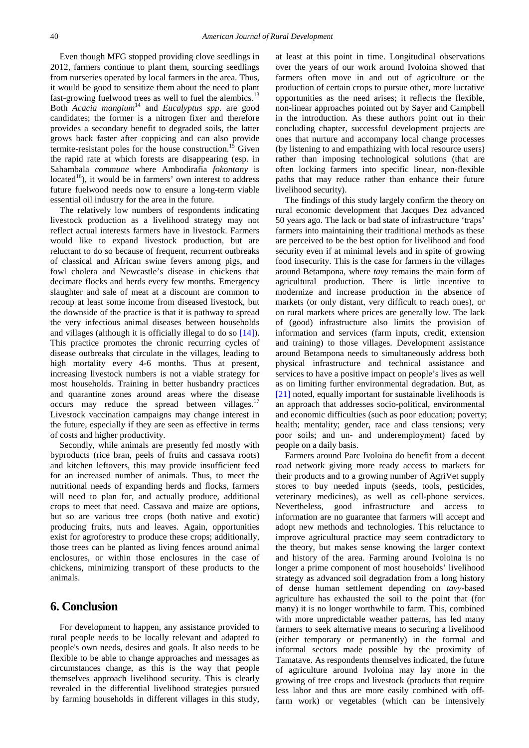Even though MFG stopped providing clove seedlings in 2012, farmers continue to plant them, sourcing seedlings from nurseries operated by local farmers in the area. Thus, it would be good to sensitize them about the need to plant fast-growing fuelwood trees as well to fuel the alembics.<sup>13</sup> Both *Acacia mangium*<sup>14</sup> and *Eucalyptus spp*. are good candidates; the former is a nitrogen fixer and therefore provides a secondary benefit to degraded soils, the latter grows back faster after coppicing and can also provide termite-resistant poles for the house construction.<sup>15</sup> Given termite-resistant poles for the house construction.<sup>1</sup> the rapid rate at which forests are disappearing (esp. in Sahambala *commune* where Ambodirafia *fokontany* is located<sup>16</sup>), it would be in farmers' own interest to address future fuelwood needs now to ensure a long-term viable essential oil industry for the area in the future.

The relatively low numbers of respondents indicating livestock production as a livelihood strategy may not reflect actual interests farmers have in livestock. Farmers would like to expand livestock production, but are reluctant to do so because of frequent, recurrent outbreaks of classical and African swine fevers among pigs, and fowl cholera and Newcastle's disease in chickens that decimate flocks and herds every few months. Emergency slaughter and sale of meat at a discount are common to recoup at least some income from diseased livestock, but the downside of the practice is that it is pathway to spread the very infectious animal diseases between households and villages (although it is officially illegal to do so [\[14\]\)](#page-11-13). This practice promotes the chronic recurring cycles of disease outbreaks that circulate in the villages, leading to high mortality every 4-6 months. Thus at present, increasing livestock numbers is not a viable strategy for most households. Training in better husbandry practices and quarantine zones around areas where the disease occurs may reduce the spread between villages. $17$ Livestock vaccination campaigns may change interest in the future, especially if they are seen as effective in terms of costs and higher productivity.

Secondly, while animals are presently fed mostly with byproducts (rice bran, peels of fruits and cassava roots) and kitchen leftovers, this may provide insufficient feed for an increased number of animals. Thus, to meet the nutritional needs of expanding herds and flocks, farmers will need to plan for, and actually produce, additional crops to meet that need. Cassava and maize are options, but so are various tree crops (both native and exotic) producing fruits, nuts and leaves. Again, opportunities exist for agroforestry to produce these crops; additionally, those trees can be planted as living fences around animal enclosures, or within those enclosures in the case of chickens, minimizing transport of these products to the animals.

## **6. Conclusion**

For development to happen, any assistance provided to rural people needs to be locally relevant and adapted to people's own needs, desires and goals. It also needs to be flexible to be able to change approaches and messages as circumstances change, as this is the way that people themselves approach livelihood security. This is clearly revealed in the differential livelihood strategies pursued by farming households in different villages in this study, at least at this point in time. Longitudinal observations over the years of our work around Ivoloina showed that farmers often move in and out of agriculture or the production of certain crops to pursue other, more lucrative opportunities as the need arises; it reflects the flexible, non-linear approaches pointed out by Sayer and Campbell in the introduction. As these authors point out in their concluding chapter, successful development projects are ones that nurture and accompany local change processes (by listening to and empathizing with local resource users) rather than imposing technological solutions (that are often locking farmers into specific linear, non-flexible paths that may reduce rather than enhance their future livelihood security).

The findings of this study largely confirm the theory on rural economic development that Jacques Dez advanced 50 years ago. The lack or bad state of infrastructure 'traps' farmers into maintaining their traditional methods as these are perceived to be the best option for livelihood and food security even if at minimal levels and in spite of growing food insecurity. This is the case for farmers in the villages around Betampona, where *tavy* remains the main form of agricultural production. There is little incentive to modernize and increase production in the absence of markets (or only distant, very difficult to reach ones), or on rural markets where prices are generally low. The lack of (good) infrastructure also limits the provision of information and services (farm inputs, credit, extension and training) to those villages. Development assistance around Betampona needs to simultaneously address both physical infrastructure and technical assistance and services to have a positive impact on people's lives as well as on limiting further environmental degradation. But, as [\[21\]](#page-11-14) noted, equally important for sustainable livelihoods is an approach that addresses socio-political, environmental and economic difficulties (such as poor education; poverty; health; mentality; gender, race and class tensions; very poor soils; and un- and underemployment) faced by people on a daily basis.

Farmers around Parc Ivoloina do benefit from a decent road network giving more ready access to markets for their products and to a growing number of AgriVet supply stores to buy needed inputs (seeds, tools, pesticides, veterinary medicines), as well as cell-phone services. Nevertheless, good infrastructure and access to information are no guarantee that farmers will accept and adopt new methods and technologies. This reluctance to improve agricultural practice may seem contradictory to the theory, but makes sense knowing the larger context and history of the area. Farming around Ivoloina is no longer a prime component of most households' livelihood strategy as advanced soil degradation from a long history of dense human settlement depending on *tavy*-based agriculture has exhausted the soil to the point that (for many) it is no longer worthwhile to farm. This, combined with more unpredictable weather patterns, has led many farmers to seek alternative means to securing a livelihood (either temporary or permanently) in the formal and informal sectors made possible by the proximity of Tamatave. As respondents themselves indicated, the future of agriculture around Ivoloina may lay more in the growing of tree crops and livestock (products that require less labor and thus are more easily combined with offfarm work) or vegetables (which can be intensively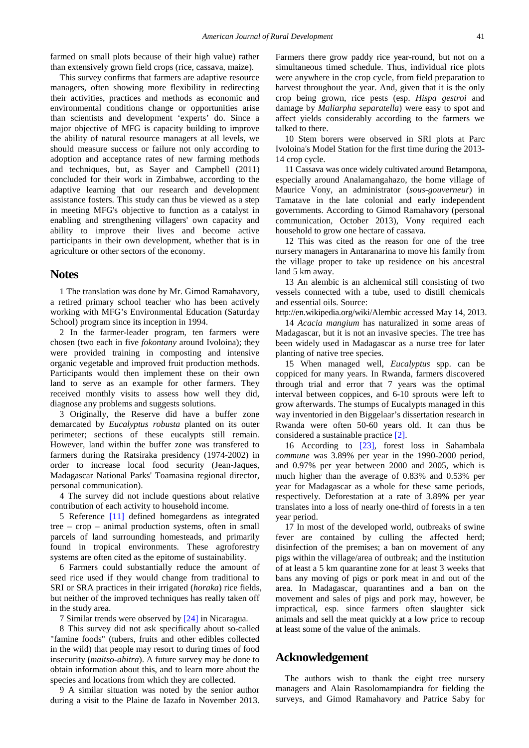farmed on small plots because of their high value) rather than extensively grown field crops (rice, cassava, maize).

This survey confirms that farmers are adaptive resource managers, often showing more flexibility in redirecting their activities, practices and methods as economic and environmental conditions change or opportunities arise than scientists and development 'experts' do. Since a major objective of MFG is capacity building to improve the ability of natural resource managers at all levels, we should measure success or failure not only according to adoption and acceptance rates of new farming methods and techniques, but, as Sayer and Campbell (2011) concluded for their work in Zimbabwe, according to the adaptive learning that our research and development assistance fosters. This study can thus be viewed as a step in meeting MFG's objective to function as a catalyst in enabling and strengthening villagers' own capacity and ability to improve their lives and become active participants in their own development, whether that is in agriculture or other sectors of the economy.

#### **Notes**

1 The translation was done by Mr. Gimod Ramahavory, a retired primary school teacher who has been actively working with MFG's Environmental Education (Saturday School) program since its inception in 1994.

2 In the farmer-leader program, ten farmers were chosen (two each in five *fokontany* around Ivoloina); they were provided training in composting and intensive organic vegetable and improved fruit production methods. Participants would then implement these on their own land to serve as an example for other farmers. They received monthly visits to assess how well they did, diagnose any problems and suggests solutions.

3 Originally, the Reserve did have a buffer zone demarcated by *Eucalyptus robusta* planted on its outer perimeter; sections of these eucalypts still remain. However, land within the buffer zone was transfered to farmers during the Ratsiraka presidency (1974-2002) in order to increase local food security (Jean-Jaques, Madagascar National Parks' Toamasina regional director, personal communication).

4 The survey did not include questions about relative contribution of each activity to household income.

5 Reference [\[11\]](#page-11-15) defined homegardens as integrated tree – crop – animal production systems, often in small parcels of land surrounding homesteads, and primarily found in tropical environments. These agroforestry systems are often cited as the epitome of sustainability.

6 Farmers could substantially reduce the amount of seed rice used if they would change from traditional to SRI or SRA practices in their irrigated (*horaka*) rice fields, but neither of the improved techniques has really taken off in the study area.

7 Similar trends were observed b[y \[24\]](#page-11-16) in Nicaragua.

8 This survey did not ask specifically about so-called "famine foods" (tubers, fruits and other edibles collected in the wild) that people may resort to during times of food insecurity (*maitso-ahitra*). A future survey may be done to obtain information about this, and to learn more about the species and locations from which they are collected.

9 A similar situation was noted by the senior author during a visit to the Plaine de Iazafo in November 2013. Farmers there grow paddy rice year-round, but not on a simultaneous timed schedule. Thus, individual rice plots were anywhere in the crop cycle, from field preparation to harvest throughout the year. And, given that it is the only crop being grown, rice pests (esp. *Hispa gestroi* and damage by *Maliarpha separatella*) were easy to spot and affect yields considerably according to the farmers we talked to there.

10 Stem borers were observed in SRI plots at Parc Ivoloina's Model Station for the first time during the 2013- 14 crop cycle.

11 Cassava was once widely cultivated around Betampona, especially around Analamangahazo, the home village of Maurice Vony, an administrator (*sous-gouverneur*) in Tamatave in the late colonial and early independent governments. According to Gimod Ramahavory (personal communication, October 2013), Vony required each household to grow one hectare of cassava.

12 This was cited as the reason for one of the tree nursery managers in Antaranarina to move his family from the village proper to take up residence on his ancestral land 5 km away.

13 An alembic is an alchemical still consisting of two vessels connected with a tube, used to distill chemicals and essential oils. Source:

http://en.wikipedia.org/wiki/Alembic accessed May 14, 2013. 14 *Acacia mangium* has naturalized in some areas of Madagascar, but it is not an invasive species. The tree has been widely used in Madagascar as a nurse tree for later planting of native tree species.

15 When managed well, *Eucalyptus* spp. can be coppiced for many years. In Rwanda, farmers discovered through trial and error that 7 years was the optimal interval between coppices, and 6-10 sprouts were left to grow afterwards. The stumps of Eucalypts managed in this way inventoried in den Biggelaar's dissertation research in Rwanda were often 50-60 years old. It can thus be considered a sustainable practice [\[2\].](#page-11-17)

16 According to [\[23\],](#page-11-18) forest loss in Sahambala *commune* was 3.89% per year in the 1990-2000 period, and 0.97% per year between 2000 and 2005, which is much higher than the average of 0.83% and 0.53% per year for Madagascar as a whole for these same periods, respectively. Deforestation at a rate of 3.89% per year translates into a loss of nearly one-third of forests in a ten year period.

17 In most of the developed world, outbreaks of swine fever are contained by culling the affected herd; disinfection of the premises; a ban on movement of any pigs within the village/area of outbreak; and the institution of at least a 5 km quarantine zone for at least 3 weeks that bans any moving of pigs or pork meat in and out of the area. In Madagascar, quarantines and a ban on the movement and sales of pigs and pork may, however, be impractical, esp. since farmers often slaughter sick animals and sell the meat quickly at a low price to recoup at least some of the value of the animals.

### **Acknowledgement**

The authors wish to thank the eight tree nursery managers and Alain Rasolomampiandra for fielding the surveys, and Gimod Ramahavory and Patrice Saby for